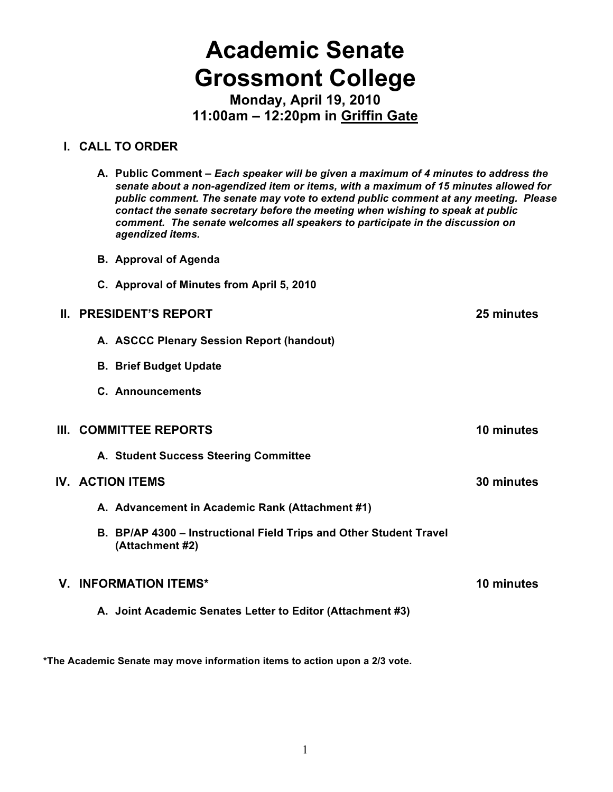# **Academic Senate Grossmont College**

**Monday, April 19, 2010 11:00am – 12:20pm in Griffin Gate**

#### **I. CALL TO ORDER**

- **A. Public Comment –** *Each speaker will be given a maximum of 4 minutes to address the senate about a non-agendized item or items, with a maximum of 15 minutes allowed for public comment. The senate may vote to extend public comment at any meeting. Please contact the senate secretary before the meeting when wishing to speak at public comment. The senate welcomes all speakers to participate in the discussion on agendized items.*
- **B. Approval of Agenda**
- **C. Approval of Minutes from April 5, 2010**

#### **II. PRESIDENT'S REPORT 25 minutes**

- **A. ASCCC Plenary Session Report (handout)**
- **B. Brief Budget Update**
- **C. Announcements**

#### **III. COMMITTEE REPORTS 10 minutes**

**A. Student Success Steering Committee**

#### **IV. ACTION ITEMS 30 minutes**

- **A. Advancement in Academic Rank (Attachment #1)**
- **B. BP/AP 4300 Instructional Field Trips and Other Student Travel (Attachment #2)**

#### **V. INFORMATION ITEMS\* 10 minutes**

**A. Joint Academic Senates Letter to Editor (Attachment #3)**

**\*The Academic Senate may move information items to action upon a 2/3 vote.**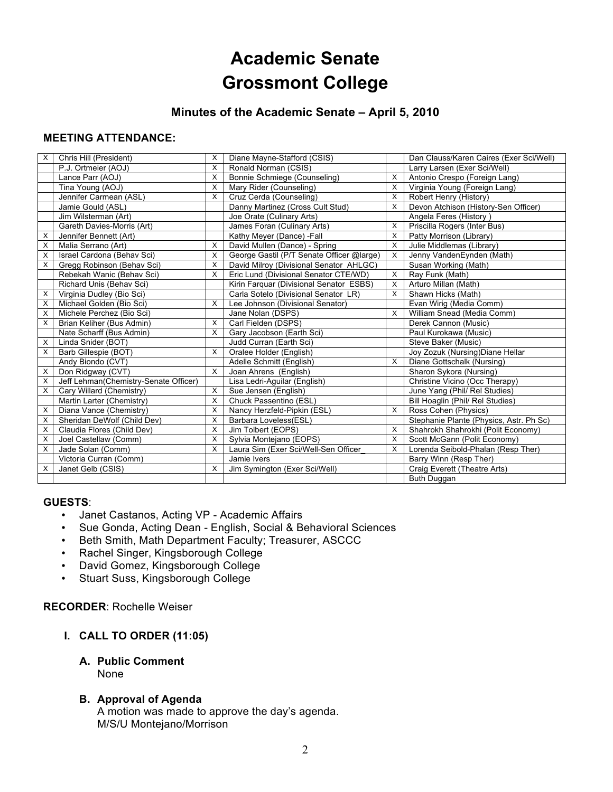## **Academic Senate Grossmont College**

#### **Minutes of the Academic Senate – April 5, 2010**

#### **MEETING ATTENDANCE:**

| X | Chris Hill (President)                | X        | Diane Mayne-Stafford (CSIS)               |   | Dan Clauss/Karen Caires (Exer Sci/Well) |
|---|---------------------------------------|----------|-------------------------------------------|---|-----------------------------------------|
|   | P.J. Ortmeier (AOJ)                   | X        | Ronald Norman (CSIS)                      |   | Larry Larsen (Exer Sci/Well)            |
|   | Lance Parr (AOJ)                      | X        | Bonnie Schmiege (Counseling)              | X | Antonio Crespo (Foreign Lang)           |
|   | Tina Young (AOJ)                      | X        | Mary Rider (Counseling)                   | X | Virginia Young (Foreign Lang)           |
|   | Jennifer Carmean (ASL)                | X        | Cruz Cerda (Counseling)                   | X | Robert Henry (History)                  |
|   | Jamie Gould (ASL)                     |          | Danny Martinez (Cross Cult Stud)          | X | Devon Atchison (History-Sen Officer)    |
|   | Jim Wilsterman (Art)                  |          | Joe Orate (Culinary Arts)                 |   | Angela Feres (History)                  |
|   | Gareth Davies-Morris (Art)            |          | James Foran (Culinary Arts)               | X | Priscilla Rogers (Inter Bus)            |
| х | Jennifer Bennett (Art)                |          | Kathy Meyer (Dance) -Fall                 | X | Patty Morrison (Library)                |
| х | Malia Serrano (Art)                   | X        | David Mullen (Dance) - Spring             | X | Julie Middlemas (Library)               |
| X | Israel Cardona (Behav Sci)            | X        | George Gastil (P/T Senate Officer @large) | х | Jenny VandenEynden (Math)               |
| X | Gregg Robinson (Behav Sci)            | X        | David Milroy (Divisional Senator AHLGC)   |   | Susan Working (Math)                    |
|   | Rebekah Wanic (Behav Sci)             | $\times$ | Eric Lund (Divisional Senator CTE/WD)     | X | Ray Funk (Math)                         |
|   | Richard Unis (Behav Sci)              |          | Kirin Farquar (Divisional Senator ESBS)   | х | Arturo Millan (Math)                    |
| Х | Virginia Dudley (Bio Sci)             |          | Carla Sotelo (Divisional Senator LR)      | Х | Shawn Hicks (Math)                      |
| X | Michael Golden (Bio Sci)              | X        | Lee Johnson (Divisional Senator)          |   | Evan Wirig (Media Comm)                 |
| X | Michele Perchez (Bio Sci)             |          | Jane Nolan (DSPS)                         | X | William Snead (Media Comm)              |
| X | Brian Keliher (Bus Admin)             | X        | Carl Fielden (DSPS)                       |   | Derek Cannon (Music)                    |
|   | Nate Scharff (Bus Admin)              | X        | Gary Jacobson (Earth Sci)                 |   | Paul Kurokawa (Music)                   |
| X | Linda Snider (BOT)                    |          | Judd Curran (Earth Sci)                   |   | Steve Baker (Music)                     |
| X | Barb Gillespie (BOT)                  | X        | Oralee Holder (English)                   |   | Joy Zozuk (Nursing) Diane Hellar        |
|   | Andy Biondo (CVT)                     |          | Adelle Schmitt (English)                  | X | Diane Gottschalk (Nursing)              |
| X | Don Ridgway (CVT)                     | $\times$ | Joan Ahrens (English)                     |   | Sharon Sykora (Nursing)                 |
| X | Jeff Lehman(Chemistry-Senate Officer) |          | Lisa Ledri-Aguilar (English)              |   | Christine Vicino (Occ Therapy)          |
| X | Cary Willard (Chemistry)              | X        | Sue Jensen (English)                      |   | June Yang (Phil/ Rel Studies)           |
|   | Martin Larter (Chemistry)             | X        | Chuck Passentino (ESL)                    |   | Bill Hoaglin (Phil/ Rel Studies)        |
| X | Diana Vance (Chemistry)               | X        | Nancy Herzfeld-Pipkin (ESL)               | X | Ross Cohen (Physics)                    |
| X | Sheridan DeWolf (Child Dev)           | X        | Barbara Loveless(ESL)                     |   | Stephanie Plante (Physics, Astr. Ph Sc) |
| X | Claudia Flores (Child Dev)            | X        | Jim Tolbert (EOPS)                        | X | Shahrokh Shahrokhi (Polit Economy)      |
| X | Joel Castellaw (Comm)                 | X        | Sylvia Montejano (EOPS)                   | X | Scott McGann (Polit Economy)            |
| X | Jade Solan (Comm)                     | X        | Laura Sim (Exer Sci/Well-Sen Officer      | х | Lorenda Seibold-Phalan (Resp Ther)      |
|   | Victoria Curran (Comm)                |          | Jamie Ivers                               |   | Barry Winn (Resp Ther)                  |
| X | Janet Gelb (CSIS)                     | X        | Jim Symington (Exer Sci/Well)             |   | Craig Everett (Theatre Arts)            |
|   |                                       |          |                                           |   | Buth Duggan                             |

#### **GUESTS**:

- Janet Castanos, Acting VP Academic Affairs
- Sue Gonda, Acting Dean English, Social & Behavioral Sciences
- Beth Smith, Math Department Faculty; Treasurer, ASCCC
- Rachel Singer, Kingsborough College
- David Gomez, Kingsborough College
- Stuart Suss, Kingsborough College

**RECORDER**: Rochelle Weiser

#### **I. CALL TO ORDER (11:05)**

**A. Public Comment**  None

#### **B. Approval of Agenda**

A motion was made to approve the day's agenda. M/S/U Montejano/Morrison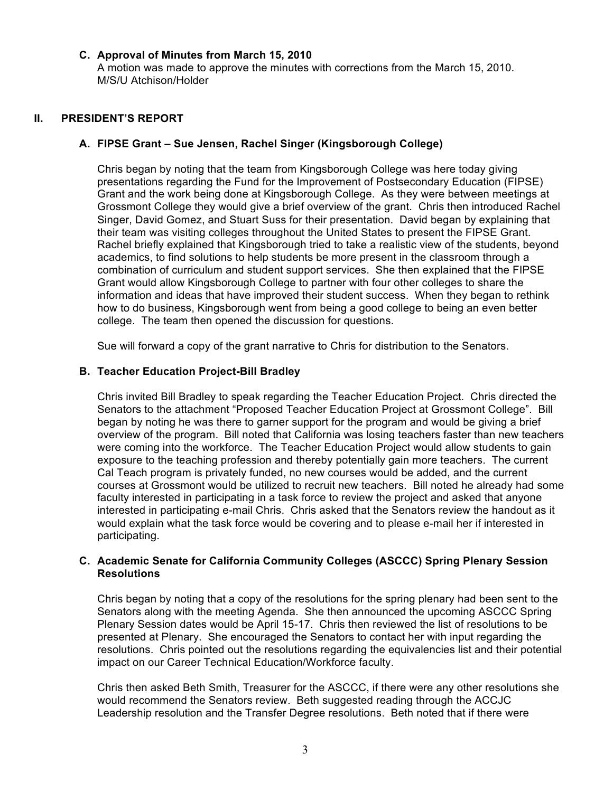#### **C. Approval of Minutes from March 15, 2010**

A motion was made to approve the minutes with corrections from the March 15, 2010. M/S/U Atchison/Holder

#### **II. PRESIDENT'S REPORT**

#### **A. FIPSE Grant – Sue Jensen, Rachel Singer (Kingsborough College)**

Chris began by noting that the team from Kingsborough College was here today giving presentations regarding the Fund for the Improvement of Postsecondary Education (FIPSE) Grant and the work being done at Kingsborough College. As they were between meetings at Grossmont College they would give a brief overview of the grant. Chris then introduced Rachel Singer, David Gomez, and Stuart Suss for their presentation. David began by explaining that their team was visiting colleges throughout the United States to present the FIPSE Grant. Rachel briefly explained that Kingsborough tried to take a realistic view of the students, beyond academics, to find solutions to help students be more present in the classroom through a combination of curriculum and student support services. She then explained that the FIPSE Grant would allow Kingsborough College to partner with four other colleges to share the information and ideas that have improved their student success. When they began to rethink how to do business, Kingsborough went from being a good college to being an even better college. The team then opened the discussion for questions.

Sue will forward a copy of the grant narrative to Chris for distribution to the Senators.

#### **B. Teacher Education Project-Bill Bradley**

Chris invited Bill Bradley to speak regarding the Teacher Education Project. Chris directed the Senators to the attachment "Proposed Teacher Education Project at Grossmont College". Bill began by noting he was there to garner support for the program and would be giving a brief overview of the program. Bill noted that California was losing teachers faster than new teachers were coming into the workforce. The Teacher Education Project would allow students to gain exposure to the teaching profession and thereby potentially gain more teachers. The current Cal Teach program is privately funded, no new courses would be added, and the current courses at Grossmont would be utilized to recruit new teachers. Bill noted he already had some faculty interested in participating in a task force to review the project and asked that anyone interested in participating e-mail Chris. Chris asked that the Senators review the handout as it would explain what the task force would be covering and to please e-mail her if interested in participating.

#### **C. Academic Senate for California Community Colleges (ASCCC) Spring Plenary Session Resolutions**

Chris began by noting that a copy of the resolutions for the spring plenary had been sent to the Senators along with the meeting Agenda. She then announced the upcoming ASCCC Spring Plenary Session dates would be April 15-17. Chris then reviewed the list of resolutions to be presented at Plenary. She encouraged the Senators to contact her with input regarding the resolutions. Chris pointed out the resolutions regarding the equivalencies list and their potential impact on our Career Technical Education/Workforce faculty.

Chris then asked Beth Smith, Treasurer for the ASCCC, if there were any other resolutions she would recommend the Senators review. Beth suggested reading through the ACCJC Leadership resolution and the Transfer Degree resolutions. Beth noted that if there were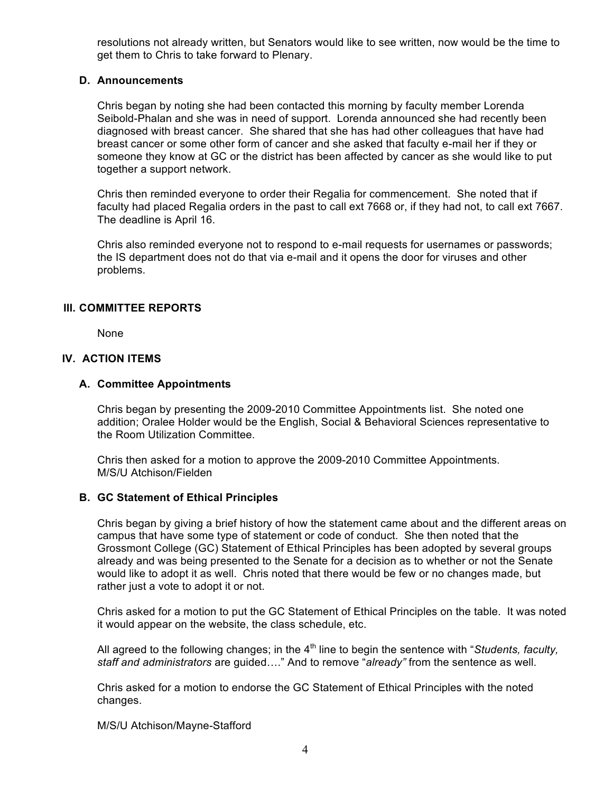resolutions not already written, but Senators would like to see written, now would be the time to get them to Chris to take forward to Plenary.

#### **D. Announcements**

Chris began by noting she had been contacted this morning by faculty member Lorenda Seibold-Phalan and she was in need of support. Lorenda announced she had recently been diagnosed with breast cancer. She shared that she has had other colleagues that have had breast cancer or some other form of cancer and she asked that faculty e-mail her if they or someone they know at GC or the district has been affected by cancer as she would like to put together a support network.

Chris then reminded everyone to order their Regalia for commencement. She noted that if faculty had placed Regalia orders in the past to call ext 7668 or, if they had not, to call ext 7667. The deadline is April 16.

Chris also reminded everyone not to respond to e-mail requests for usernames or passwords; the IS department does not do that via e-mail and it opens the door for viruses and other problems.

#### **III. COMMITTEE REPORTS**

None

#### **IV. ACTION ITEMS**

#### **A. Committee Appointments**

Chris began by presenting the 2009-2010 Committee Appointments list. She noted one addition; Oralee Holder would be the English, Social & Behavioral Sciences representative to the Room Utilization Committee.

Chris then asked for a motion to approve the 2009-2010 Committee Appointments. M/S/U Atchison/Fielden

#### **B. GC Statement of Ethical Principles**

Chris began by giving a brief history of how the statement came about and the different areas on campus that have some type of statement or code of conduct. She then noted that the Grossmont College (GC) Statement of Ethical Principles has been adopted by several groups already and was being presented to the Senate for a decision as to whether or not the Senate would like to adopt it as well. Chris noted that there would be few or no changes made, but rather just a vote to adopt it or not.

Chris asked for a motion to put the GC Statement of Ethical Principles on the table. It was noted it would appear on the website, the class schedule, etc.

All agreed to the following changes; in the 4<sup>th</sup> line to begin the sentence with "*Students, faculty*, *staff and administrators* are guided…." And to remove "*already"* from the sentence as well.

Chris asked for a motion to endorse the GC Statement of Ethical Principles with the noted changes.

M/S/U Atchison/Mayne-Stafford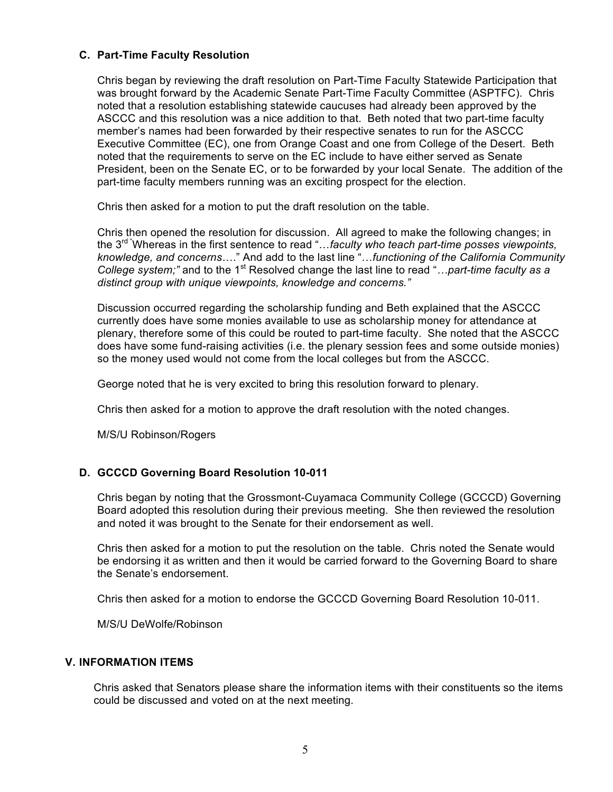#### **C. Part-Time Faculty Resolution**

Chris began by reviewing the draft resolution on Part-Time Faculty Statewide Participation that was brought forward by the Academic Senate Part-Time Faculty Committee (ASPTFC). Chris noted that a resolution establishing statewide caucuses had already been approved by the ASCCC and this resolution was a nice addition to that. Beth noted that two part-time faculty member's names had been forwarded by their respective senates to run for the ASCCC Executive Committee (EC), one from Orange Coast and one from College of the Desert. Beth noted that the requirements to serve on the EC include to have either served as Senate President, been on the Senate EC, or to be forwarded by your local Senate. The addition of the part-time faculty members running was an exciting prospect for the election.

Chris then asked for a motion to put the draft resolution on the table.

Chris then opened the resolution for discussion. All agreed to make the following changes; in the 3rd "Whereas in the first sentence to read "…*faculty who teach part-time posses viewpoints, knowledge, and concerns*…." And add to the last line "…*functioning of the California Community College system;"* and to the 1<sup>st</sup> Resolved change the last line to read "*…part-time faculty as a distinct group with unique viewpoints, knowledge and concerns."*

Discussion occurred regarding the scholarship funding and Beth explained that the ASCCC currently does have some monies available to use as scholarship money for attendance at plenary, therefore some of this could be routed to part-time faculty. She noted that the ASCCC does have some fund-raising activities (i.e. the plenary session fees and some outside monies) so the money used would not come from the local colleges but from the ASCCC.

George noted that he is very excited to bring this resolution forward to plenary.

Chris then asked for a motion to approve the draft resolution with the noted changes.

M/S/U Robinson/Rogers

#### **D. GCCCD Governing Board Resolution 10-011**

Chris began by noting that the Grossmont-Cuyamaca Community College (GCCCD) Governing Board adopted this resolution during their previous meeting. She then reviewed the resolution and noted it was brought to the Senate for their endorsement as well.

Chris then asked for a motion to put the resolution on the table. Chris noted the Senate would be endorsing it as written and then it would be carried forward to the Governing Board to share the Senate's endorsement.

Chris then asked for a motion to endorse the GCCCD Governing Board Resolution 10-011.

M/S/U DeWolfe/Robinson

#### **V. INFORMATION ITEMS**

Chris asked that Senators please share the information items with their constituents so the items could be discussed and voted on at the next meeting.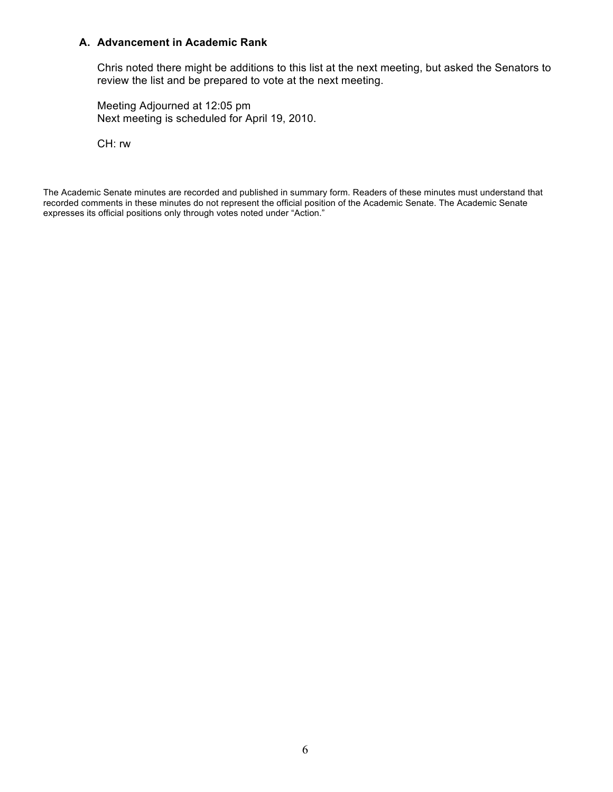#### **A. Advancement in Academic Rank**

Chris noted there might be additions to this list at the next meeting, but asked the Senators to review the list and be prepared to vote at the next meeting.

Meeting Adjourned at 12:05 pm Next meeting is scheduled for April 19, 2010.

CH: rw

The Academic Senate minutes are recorded and published in summary form. Readers of these minutes must understand that recorded comments in these minutes do not represent the official position of the Academic Senate. The Academic Senate expresses its official positions only through votes noted under "Action."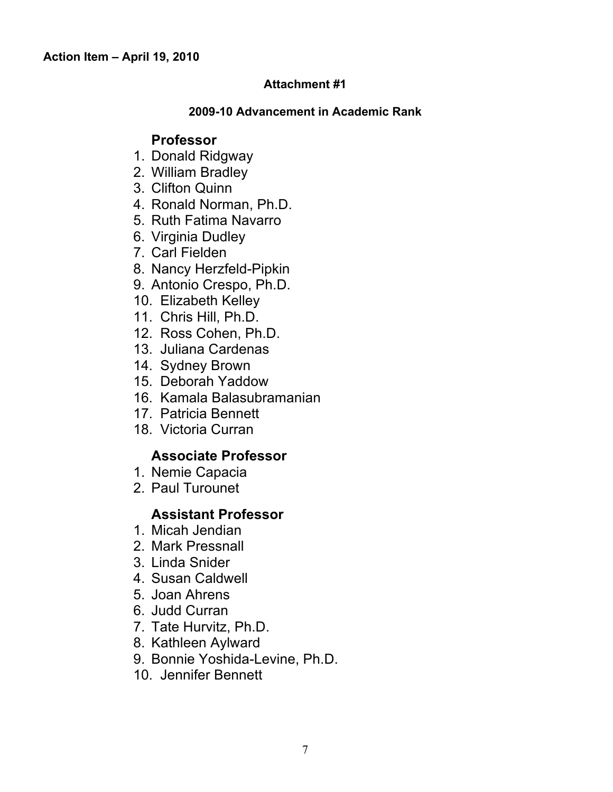#### **Attachment #1**

#### **2009-10 Advancement in Academic Rank**

## **Professor**

- 1. Donald Ridgway
- 2. William Bradley
- 3. Clifton Quinn
- 4. Ronald Norman, Ph.D.
- 5. Ruth Fatima Navarro
- 6. Virginia Dudley
- 7. Carl Fielden
- 8. Nancy Herzfeld-Pipkin
- 9. Antonio Crespo, Ph.D.
- 10. Elizabeth Kelley
- 11. Chris Hill, Ph.D.
- 12. Ross Cohen, Ph.D.
- 13. Juliana Cardenas
- 14. Sydney Brown
- 15. Deborah Yaddow
- 16. Kamala Balasubramanian
- 17. Patricia Bennett
- 18. Victoria Curran

## **Associate Professor**

- 1. Nemie Capacia
- 2. Paul Turounet

## **Assistant Professor**

- 1. Micah Jendian
- 2. Mark Pressnall
- 3. Linda Snider
- 4. Susan Caldwell
- 5. Joan Ahrens
- 6. Judd Curran
- 7. Tate Hurvitz, Ph.D.
- 8. Kathleen Aylward
- 9. Bonnie Yoshida-Levine, Ph.D.
- 10. Jennifer Bennett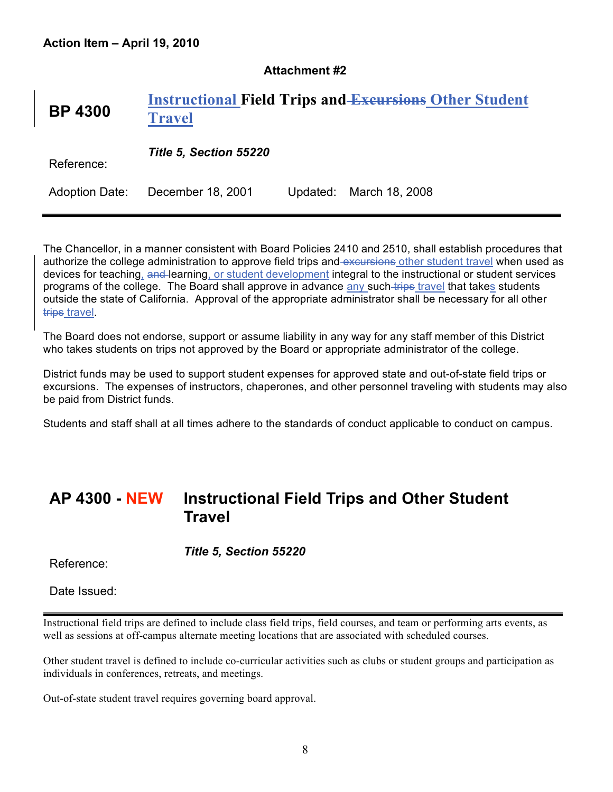#### **Attachment #2**

## **BP 4300 Instructional Field Trips and Excursions Other Student Travel**

Reference: *Title 5, Section 55220*

Adoption Date: December 18, 2001 Updated: March 18, 2008

The Chancellor, in a manner consistent with Board Policies 2410 and 2510, shall establish procedures that authorize the college administration to approve field trips and excursions other student travel when used as devices for teaching, and learning, or student development integral to the instructional or student services programs of the college. The Board shall approve in advance any such trips travel that takes students outside the state of California. Approval of the appropriate administrator shall be necessary for all other trips travel.

The Board does not endorse, support or assume liability in any way for any staff member of this District who takes students on trips not approved by the Board or appropriate administrator of the college.

District funds may be used to support student expenses for approved state and out-of-state field trips or excursions. The expenses of instructors, chaperones, and other personnel traveling with students may also be paid from District funds.

Students and staff shall at all times adhere to the standards of conduct applicable to conduct on campus.

## **AP 4300 - NEW Instructional Field Trips and Other Student Travel**

*Title 5, Section 55220*

Reference:

Date Issued:

Instructional field trips are defined to include class field trips, field courses, and team or performing arts events, as well as sessions at off-campus alternate meeting locations that are associated with scheduled courses.

Other student travel is defined to include co-curricular activities such as clubs or student groups and participation as individuals in conferences, retreats, and meetings.

Out-of-state student travel requires governing board approval.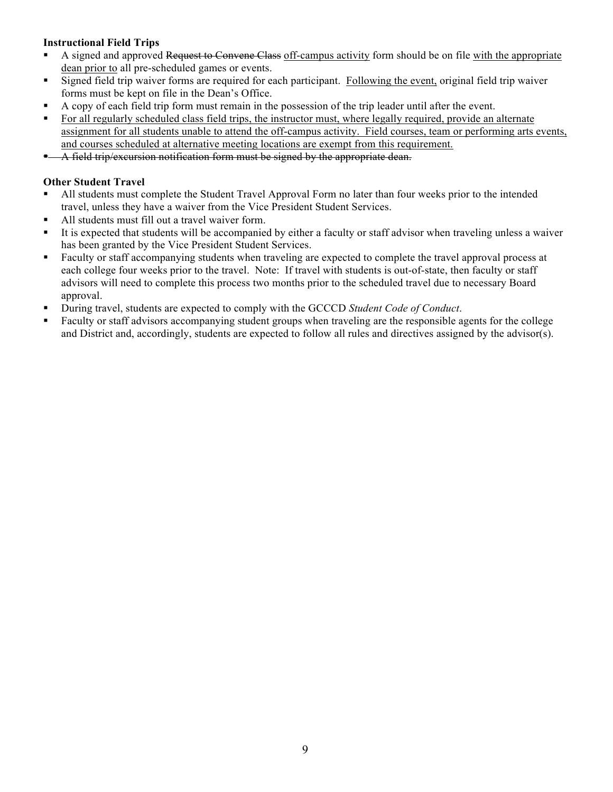#### **Instructional Field Trips**

- A signed and approved Request to Convene Class off-campus activity form should be on file with the appropriate dean prior to all pre-scheduled games or events.
- Signed field trip waiver forms are required for each participant. Following the event, original field trip waiver forms must be kept on file in the Dean's Office.
- A copy of each field trip form must remain in the possession of the trip leader until after the event.
- For all regularly scheduled class field trips, the instructor must, where legally required, provide an alternate assignment for all students unable to attend the off-campus activity. Field courses, team or performing arts events, and courses scheduled at alternative meeting locations are exempt from this requirement.
- $\blacksquare$  A field trip/excursion notification form must be signed by the appropriate dean.

#### **Other Student Travel**

- All students must complete the Student Travel Approval Form no later than four weeks prior to the intended travel, unless they have a waiver from the Vice President Student Services.
- All students must fill out a travel waiver form.
- It is expected that students will be accompanied by either a faculty or staff advisor when traveling unless a waiver has been granted by the Vice President Student Services.
- Faculty or staff accompanying students when traveling are expected to complete the travel approval process at each college four weeks prior to the travel. Note: If travel with students is out-of-state, then faculty or staff advisors will need to complete this process two months prior to the scheduled travel due to necessary Board approval.
- During travel, students are expected to comply with the GCCCD *Student Code of Conduct*.
- Faculty or staff advisors accompanying student groups when traveling are the responsible agents for the college and District and, accordingly, students are expected to follow all rules and directives assigned by the advisor(s).